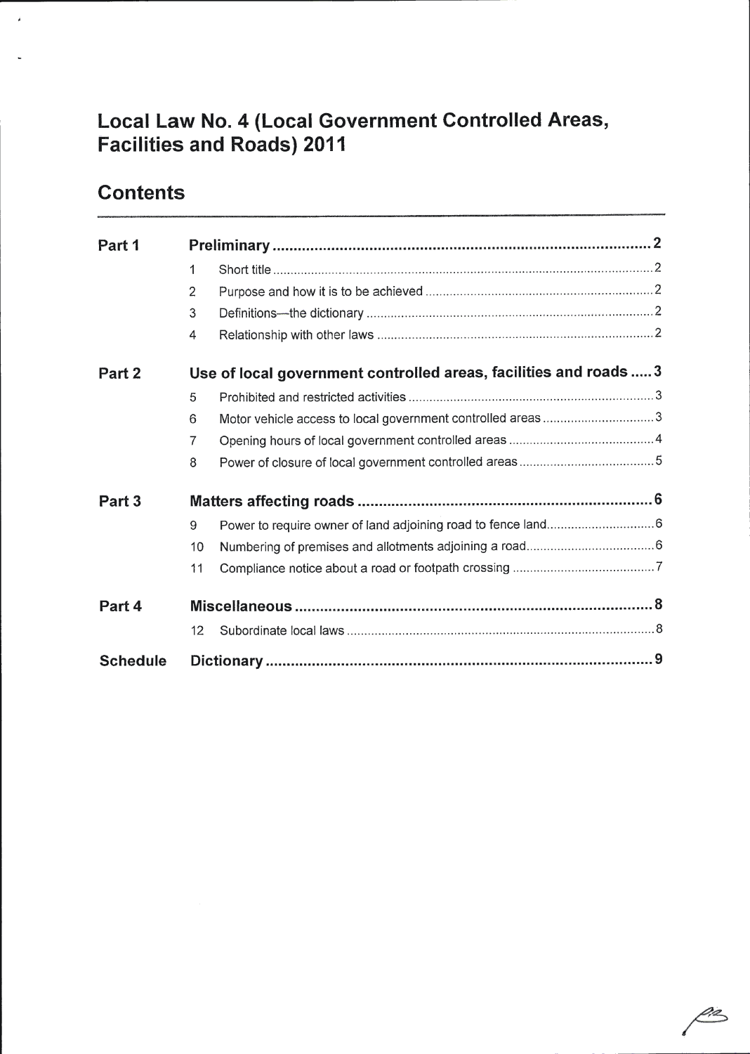# Local Law No. 4 (Local Government Controlled Areas, Facilities and Roads) 2011

# **Contents**

j.

| Part 1            |                                                                   |                                                            |  |
|-------------------|-------------------------------------------------------------------|------------------------------------------------------------|--|
|                   | 1                                                                 |                                                            |  |
|                   | $\overline{2}$                                                    |                                                            |  |
|                   | 3                                                                 |                                                            |  |
|                   | 4                                                                 |                                                            |  |
| Part 2            | Use of local government controlled areas, facilities and roads  3 |                                                            |  |
|                   | 5                                                                 |                                                            |  |
|                   | 6                                                                 | Motor vehicle access to local government controlled areas3 |  |
|                   | 7                                                                 |                                                            |  |
|                   | 8                                                                 |                                                            |  |
| Part <sub>3</sub> |                                                                   |                                                            |  |
|                   | 9                                                                 |                                                            |  |
|                   | 10                                                                |                                                            |  |
|                   | 11                                                                |                                                            |  |
| Part 4            |                                                                   |                                                            |  |
|                   | 12                                                                |                                                            |  |
| <b>Schedule</b>   |                                                                   |                                                            |  |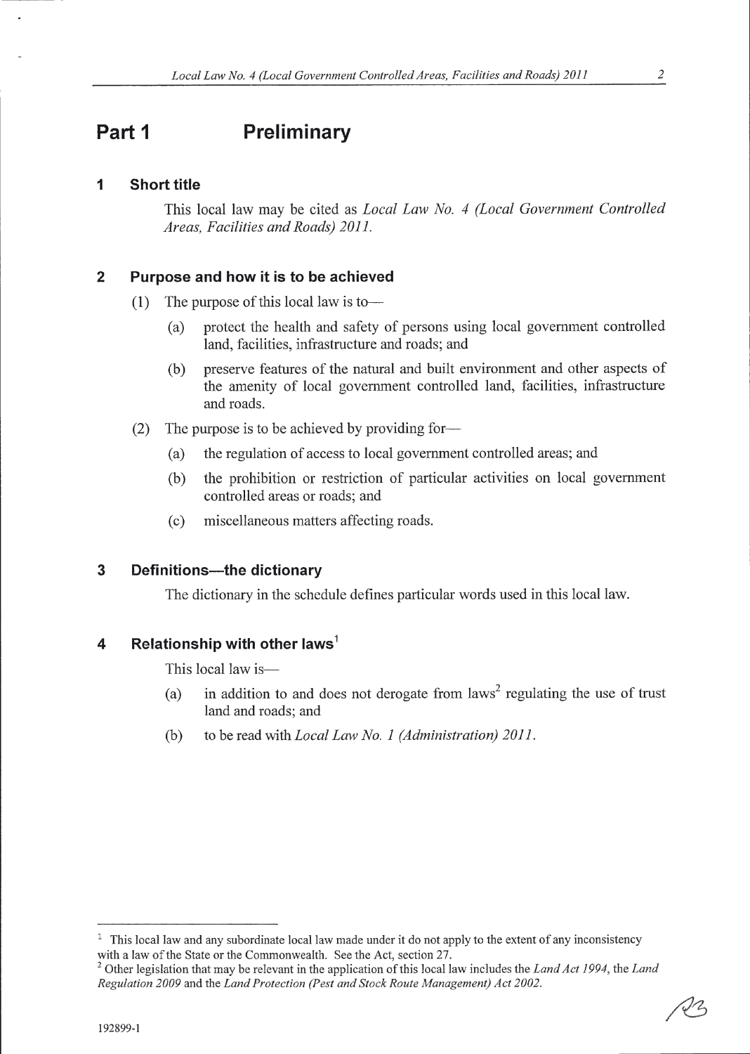## Part 1 Preliminary

#### 1 Short title

This local law may be cited as Local Law No. 4 (Local Government Controlled Areas, Facilities and Roads) 201I.

#### $\overline{2}$ Purpose and how it is to be achieved

- (1) The purpose of this local law is to-
	- (a) protect the health and safety of persons using local government controlled land, facilities, infrastructure and roads; and
	- (b) preserve features of the natural and built environment and other aspects of the amenity of local government controlled land, facilities, infrastructure and roads.
- (2) The purpose is to be achieved by providing for-
	- (a) the regulation of access to local government controlled areas; and
	- (b) the prohibition or restriction of particular activities on local government controlled areas or roads; and
	- (c) miscellaneous matters affecting roads.

#### $\overline{\mathbf{3}}$ Definitions----the dictionary

The dictionary in the schedule defines particular words used in this local law.

#### Relationship with other laws<sup>1</sup> 4

This local law is-

- (a) in addition to and does not derogate from  $laws<sup>2</sup>$  regulating the use of trust land and roads; and
- to be read with *Local Law No. 1 (Administration)* 2011. (b)

 $1$  This local law and any subordinate local law made under it do not apply to the extent of any inconsistency with a law of the State or the Commonwealth. See the Act, section 27.

<sup>&</sup>lt;sup>2</sup> Other legislation that may be relevant in the application of this local law includes the Land Act 1994, the Land Regulation 2009 and the Land Protection (Pest and Stock Route Management) Act 2002.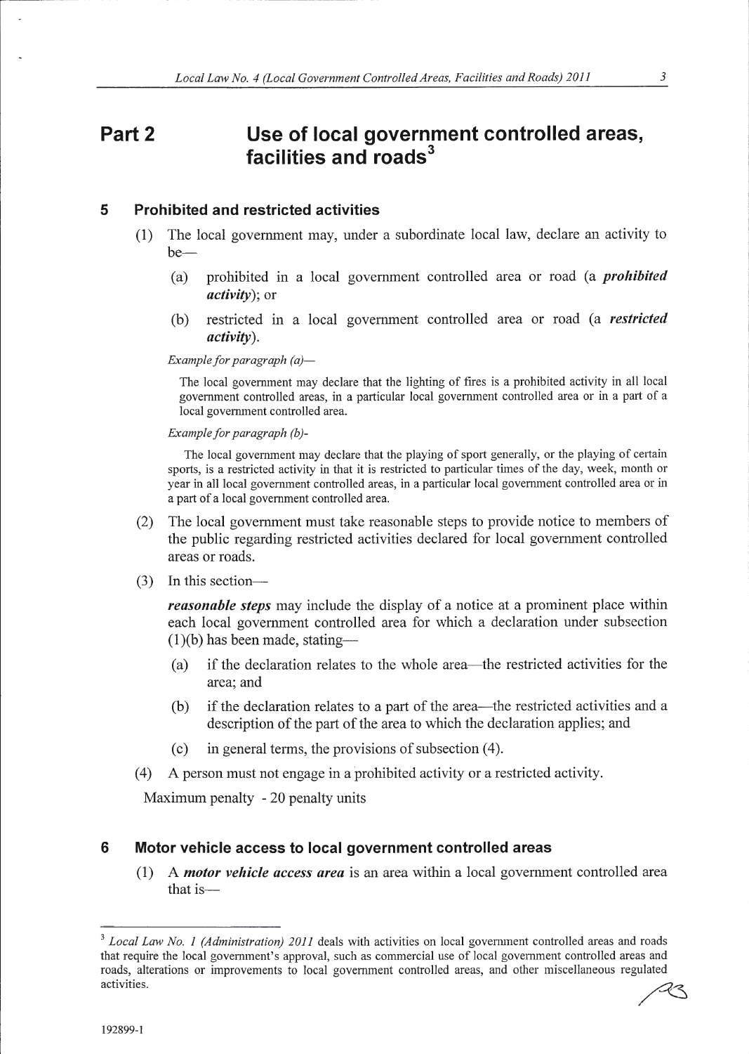### Part<sub>2</sub> Use of local government controlled areas, facilities and roads<sup>3</sup>

#### 5 Prohibited and restricted activities

- (1) The local govemment may, under a subordinate local law, declare an activity to  $be-$ 
	- (a) prohibited in a local government controlled area or road (a *prohibited* activity); or
	- (b) restricted in a local government controlled area or road (a restricted activity).

Example for paragraph  $(a)$ -

The local government may declare that the lighting of fires is a prohibited activity in all local government controlled areas, in a particular local government controlled area or in a part of a local government controlled area.

Example for paragraph  $(b)$ -

The local government may declare that the playing of sport generally, or the playing of certain sports, is a restricted activity in that it is restricted to particular times of the day, week, month or year in all local government controlled areas, in a particular local government controlled area or in a part of a local government controlled area.

- (2) The local govemment must take reasonable steps to provide notice to members of the public regarding restricted activities declared for local govemment controlled areas or roads.
- (3) In this section-

**reasonable steps** may include the display of a notice at a prominent place within each local government controlled area for which a declaration under subsection  $(1)(b)$  has been made, stating-

- (a) if the declaration relates to the whole area—the restricted activities for the area; and
- (b) if the declaration relates to a part of the area-the restricted activities and <sup>a</sup> description of the part of the area to which the declaration applies; and
- (c) in general terms, the provisions of subsection (4).
- (4) A person must not engage in a prohibited activity or a restricted activity.

Maximum penalty - 20 penalty units

#### 6 Motor vehicle access to local government controlled areas

(1) A motor vehicle access area is an area within a local government controlled area that is-

 $3$  Local Law No. 1 (Administration) 2011 deals with activities on local government controlled areas and roads that require the local government's approval, such as commercial use of local govemment controlled areas and roads, alterations or improvements to local government controlled areas, and other miscellaneous regulated activities. activities.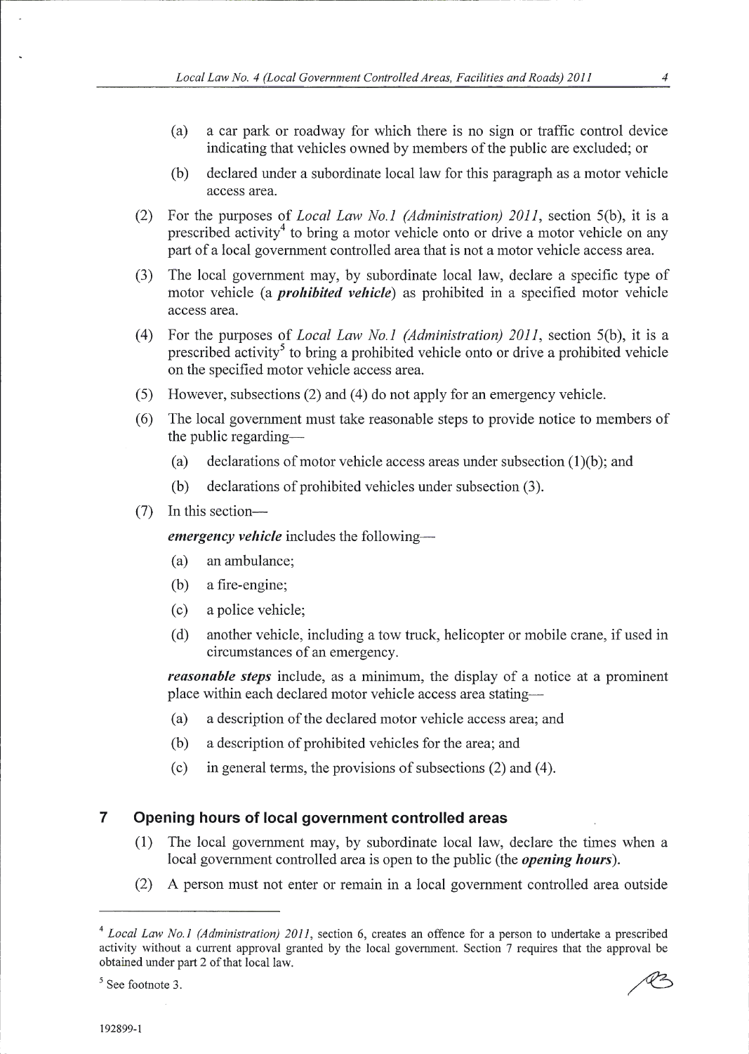- (a) <sup>a</sup>car palk or roadway for which there is no sign or traffic control device indicating that vehicles owned by members of the public are excluded; or
- (b) declared under a subordinate local law for this paragraph as a motor vehicle access area.
- (2) For the purposes of Local Law No.l (Administration) 2011, section 5(b), it is <sup>a</sup> prescribed activity<sup>4</sup> to bring a motor vehicle onto or drive a motor vehicle on any part of a local govenment controlled area that is not a motor vehicle access area.
- (3) The local government may, by subordinate local law, declare a specific type of motor vehicle (a *prohibited vehicle*) as prohibited in a specified motor vehicle access area.
- (4) For the purposes of *Local Law No.1 (Administration)* 2011, section 5(b), it is a prescribed activity<sup>5</sup> to bring a prohibited vehicle onto or drive a prohibited vehicle on the specified motor vehicle access area.
- (5) However, subsections  $(2)$  and  $(4)$  do not apply for an emergency vehicle.
- (6) The local government must take reasonable steps to provide notice to members of the public regarding-
	- (a) declarations of motor vehicle access areas under subsection (1)(b); and
	- (b) declarations of prohibited vehicles under subsection (3).
- (7) In this section-

emergency vehicle includes the following-

- (a) an ambulance;
- (b) a fire-engine;
- (c) a police vehicle;
- (d) another vehicle, including a tow truck, helicopter or mobile crane, if used in circumstances of an emergency.

reasonable steps include, as a minimum, the display of a notice at a prominent place within each declared motor vehicle access area stating-

- (a) a description of the declared motor vehicle access area; and
- (b) a description of prohibited vehicles for the area; and
- (c) in general terms, the provisions of subsections  $(2)$  and  $(4)$ .

#### $\overline{7}$ Opening hours of local government controlled areas

- (1) The local government may, by subordinate local law, declare the times when <sup>a</sup> local government controlled area is open to the public (the *opening hours*).
- (2) A person must not enter or remain in a local government controlled area outside

 $<sup>4</sup> Local Law No.1 (Administribution) 2011$ , section 6, creates an offence for a person to undertake a prescribed</sup> activity without a current approval granted by the local government. Section 7 requires that the approval be obtained under part 2 of that local law.

 $5$  See footnote 3.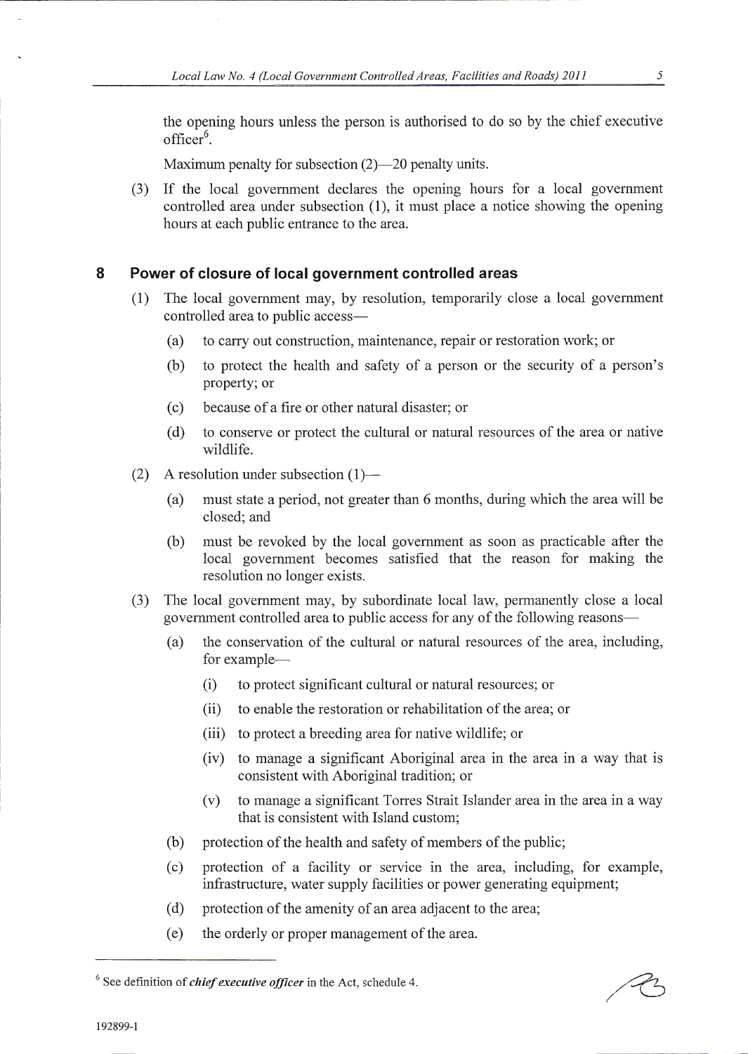the opening hours unless the person is authorised to do so by the chief executive  $officer<sup>6</sup>$ .

Maximum penalty for subsection  $(2)$ —20 penalty units.

(3) If the local govemment declares the opening hours for a local government controlled area under subsection (1), it must place a notice showing the opening hours at each public entrance to the area.

### 8 Power of closure of local government controlled areas

- The local government may, by resolution, temporarily close a local government controlled area to public access-
	- (a) to carry out construction, maintenance, repair or restoration work; or
	- (b) to protect the health and safety of a person or the security of a person's property; or
	- (c) because ofa fire or other natural disaster; or
	- (d) to conserve or protect the cultural or natural resources ofthe area or native wildlife.
- (2) A resolution under subsection  $(1)$ 
	- (a) must state a period, not greater than 6 months, during which the area will be closed; and
	- (b) must be revoked by the local government as soon as practicable after the local government becomes satisfied that the reason for making the resolution no longer exists.
- (3) The local government may, by subordinate local law, permanently close a local govemment controlled area to public access for any of the following reasons-
	- (a) the conservation of the cultural or natural resources of the area, including, for example-
		- (i) to protect significant cultural or natural resources; or
		- (ii) to enable the restoration or rehabilitation of the area; or
		- (iii) to protect a breeding area for native wildlife; or
		- (iv) to manage a significant Aboriginal arca in the area in a way that is consistent with Aboriginal tradition; or
		- (v) to manage a significant Torres Strait Islander area in the area in a way that is consistent with Island custom;
	- (b) protection of the health and safety of members of the public;
	- (c) protection of a facility or service in the area, including, for example, infrastructure, water supply facilities or power generating equipment;
	- (d) protection of the amenity of an area adjacent to the area;
	- (e) the orderly or proper management of the area.

 $6$  See definition of *chief executive officer* in the Act, schedule 4.